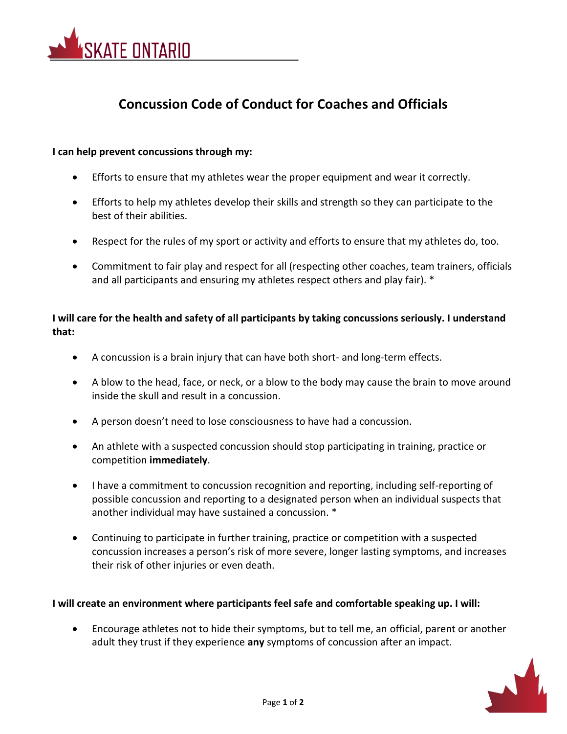

# **Concussion Code of Conduct for Coaches and Officials**

# **I can help prevent concussions through my:**

- Efforts to ensure that my athletes wear the proper equipment and wear it correctly.
- Efforts to help my athletes develop their skills and strength so they can participate to the best of their abilities.
- Respect for the rules of my sport or activity and efforts to ensure that my athletes do, too.
- Commitment to fair play and respect for all (respecting other coaches, team trainers, officials and all participants and ensuring my athletes respect others and play fair). \*

# **I will care for the health and safety of all participants by taking concussions seriously. I understand that:**

- A concussion is a brain injury that can have both short- and long-term effects.
- A blow to the head, face, or neck, or a blow to the body may cause the brain to move around inside the skull and result in a concussion.
- A person doesn't need to lose consciousness to have had a concussion.
- An athlete with a suspected concussion should stop participating in training, practice or competition **immediately**.
- I have a commitment to concussion recognition and reporting, including self-reporting of possible concussion and reporting to a designated person when an individual suspects that another individual may have sustained a concussion. \*
- Continuing to participate in further training, practice or competition with a suspected concussion increases a person's risk of more severe, longer lasting symptoms, and increases their risk of other injuries or even death.

# **I will create an environment where participants feel safe and comfortable speaking up. I will:**

• Encourage athletes not to hide their symptoms, but to tell me, an official, parent or another adult they trust if they experience **any** symptoms of concussion after an impact.